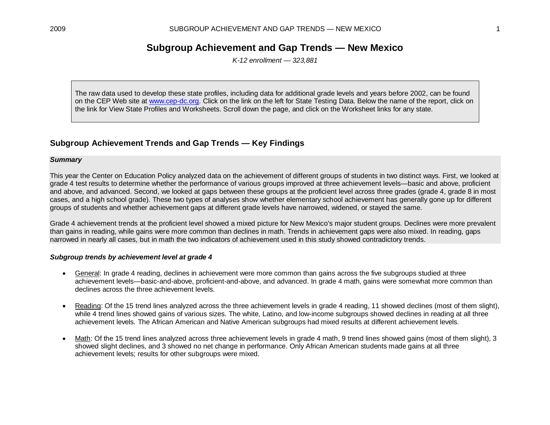# **Subgroup Achievement and Gap Trends — New Mexico**

*K-12 enrollment — 323,881*

The raw data used to develop these state profiles, including data for additional grade levels and years before 2002, can be found on the CEP Web site at [www.cep-dc.org.](http://www.cep-dc.org/) Click on the link on the left for State Testing Data. Below the name of the report, click on the link for View State Profiles and Worksheets. Scroll down the page, and click on the Worksheet links for any state.

## **Subgroup Achievement Trends and Gap Trends — Key Findings**

#### *Summary*

This year the Center on Education Policy analyzed data on the achievement of different groups of students in two distinct ways. First, we looked at grade 4 test results to determine whether the performance of various groups improved at three achievement levels—basic and above, proficient and above, and advanced. Second, we looked at gaps between these groups at the proficient level across three grades (grade 4, grade 8 in most cases, and a high school grade). These two types of analyses show whether elementary school achievement has generally gone up for different groups of students and whether achievement gaps at different grade levels have narrowed, widened, or stayed the same.

Grade 4 achievement trends at the proficient level showed a mixed picture for New Mexico's major student groups. Declines were more prevalent than gains in reading, while gains were more common than declines in math. Trends in achievement gaps were also mixed. In reading, gaps narrowed in nearly all cases, but in math the two indicators of achievement used in this study showed contradictory trends.

#### *Subgroup trends by achievement level at grade 4*

- General: In grade 4 reading, declines in achievement were more common than gains across the five subgroups studied at three achievement levels—basic-and-above, proficient-and-above, and advanced. In grade 4 math, gains were somewhat more common than declines across the three achievement levels.
- Reading: Of the 15 trend lines analyzed across the three achievement levels in grade 4 reading, 11 showed declines (most of them slight), while 4 trend lines showed gains of various sizes. The white, Latino, and low-income subgroups showed declines in reading at all three achievement levels. The African American and Native American subgroups had mixed results at different achievement levels.
- Math: Of the 15 trend lines analyzed across three achievement levels in grade 4 math, 9 trend lines showed gains (most of them slight), 3 showed slight declines, and 3 showed no net change in performance. Only African American students made gains at all three achievement levels; results for other subgroups were mixed.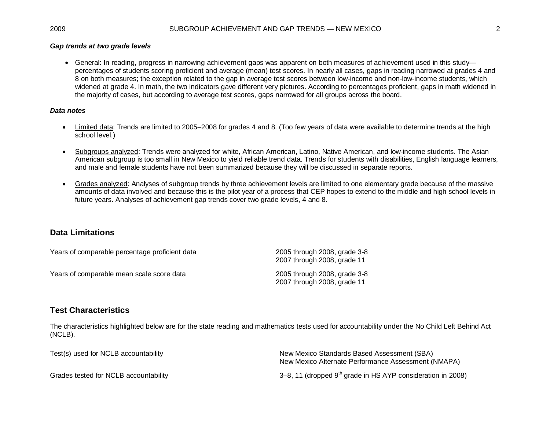### *Gap trends at two grade levels*

• General: In reading, progress in narrowing achievement gaps was apparent on both measures of achievement used in this study percentages of students scoring proficient and average (mean) test scores. In nearly all cases, gaps in reading narrowed at grades 4 and 8 on both measures; the exception related to the gap in average test scores between low-income and non-low-income students, which widened at grade 4. In math, the two indicators gave different very pictures. According to percentages proficient, gaps in math widened in the majority of cases, but according to average test scores, gaps narrowed for all groups across the board.

#### *Data notes*

- Limited data: Trends are limited to 2005–2008 for grades 4 and 8. (Too few years of data were available to determine trends at the high school level.)
- Subgroups analyzed: Trends were analyzed for white, African American, Latino, Native American, and low-income students. The Asian American subgroup is too small in New Mexico to yield reliable trend data. Trends for students with disabilities, English language learners, and male and female students have not been summarized because they will be discussed in separate reports.
- Grades analyzed: Analyses of subgroup trends by three achievement levels are limited to one elementary grade because of the massive amounts of data involved and because this is the pilot year of a process that CEP hopes to extend to the middle and high school levels in future years. Analyses of achievement gap trends cover two grade levels, 4 and 8.

## **Data Limitations**

| Years of comparable percentage proficient data | 2005 through 2008, grade 3-8<br>2007 through 2008, grade 11 |
|------------------------------------------------|-------------------------------------------------------------|
| Years of comparable mean scale score data      | 2005 through 2008, grade 3-8<br>2007 through 2008, grade 11 |

## **Test Characteristics**

The characteristics highlighted below are for the state reading and mathematics tests used for accountability under the No Child Left Behind Act (NCLB).

| Test(s) used for NCLB accountability  | New Mexico Standards Based Assessment (SBA)<br>New Mexico Alternate Performance Assessment (NMAPA) |
|---------------------------------------|----------------------------------------------------------------------------------------------------|
| Grades tested for NCLB accountability | 3–8, 11 (dropped $9th$ grade in HS AYP consideration in 2008)                                      |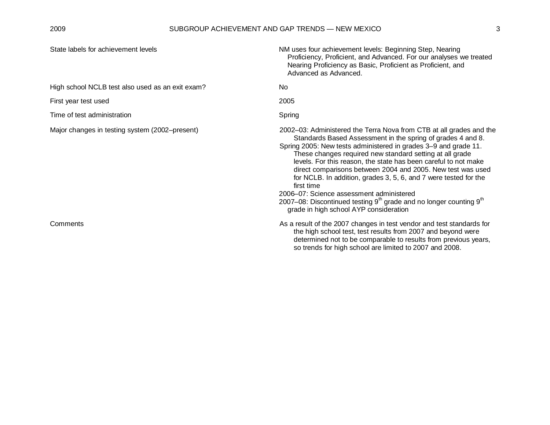| State labels for achievement levels              | NM uses four achievement levels: Beginning Step, Nearing<br>Proficiency, Proficient, and Advanced. For our analyses we treated<br>Nearing Proficiency as Basic, Proficient as Proficient, and<br>Advanced as Advanced.                                                                                                                                                                                                                                                                                                                                                                                                                                                    |
|--------------------------------------------------|---------------------------------------------------------------------------------------------------------------------------------------------------------------------------------------------------------------------------------------------------------------------------------------------------------------------------------------------------------------------------------------------------------------------------------------------------------------------------------------------------------------------------------------------------------------------------------------------------------------------------------------------------------------------------|
| High school NCLB test also used as an exit exam? | <b>No</b>                                                                                                                                                                                                                                                                                                                                                                                                                                                                                                                                                                                                                                                                 |
| First year test used                             | 2005                                                                                                                                                                                                                                                                                                                                                                                                                                                                                                                                                                                                                                                                      |
| Time of test administration                      | Spring                                                                                                                                                                                                                                                                                                                                                                                                                                                                                                                                                                                                                                                                    |
| Major changes in testing system (2002–present)   | 2002–03: Administered the Terra Nova from CTB at all grades and the<br>Standards Based Assessment in the spring of grades 4 and 8.<br>Spring 2005: New tests administered in grades 3-9 and grade 11.<br>These changes required new standard setting at all grade<br>levels. For this reason, the state has been careful to not make<br>direct comparisons between 2004 and 2005. New test was used<br>for NCLB. In addition, grades 3, 5, 6, and 7 were tested for the<br>first time<br>2006–07: Science assessment administered<br>2007-08: Discontinued testing 9 <sup>th</sup> grade and no longer counting 9 <sup>th</sup><br>grade in high school AYP consideration |
| Comments                                         | As a result of the 2007 changes in test vendor and test standards for<br>the high school test, test results from 2007 and beyond were<br>determined not to be comparable to results from previous years,<br>so trends for high school are limited to 2007 and 2008.                                                                                                                                                                                                                                                                                                                                                                                                       |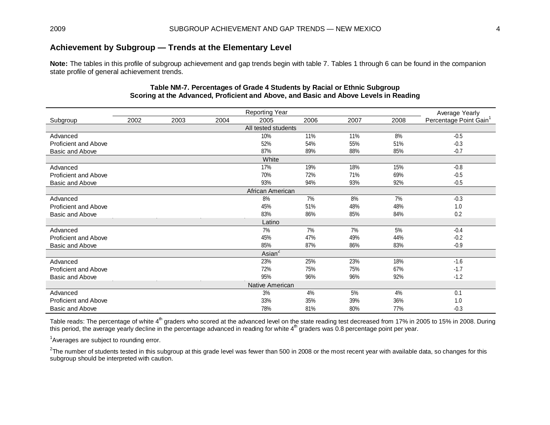## **Achievement by Subgroup — Trends at the Elementary Level**

**Note:** The tables in this profile of subgroup achievement and gap trends begin with table 7. Tables 1 through 6 can be found in the companion state profile of general achievement trends.

|                             | Average Yearly |      |      |                     |      |      |      |                                    |
|-----------------------------|----------------|------|------|---------------------|------|------|------|------------------------------------|
| Subgroup                    | 2002           | 2003 | 2004 | 2005                | 2006 | 2007 | 2008 | Percentage Point Gain <sup>1</sup> |
|                             |                |      |      | All tested students |      |      |      |                                    |
| Advanced                    |                |      |      | 10%                 | 11%  | 11%  | 8%   | $-0.5$                             |
| Proficient and Above        |                |      |      | 52%                 | 54%  | 55%  | 51%  | $-0.3$                             |
| Basic and Above             |                |      |      | 87%                 | 89%  | 88%  | 85%  | $-0.7$                             |
|                             |                |      |      | White               |      |      |      |                                    |
| Advanced                    |                |      |      | 17%                 | 19%  | 18%  | 15%  | $-0.8$                             |
| Proficient and Above        |                |      |      | 70%                 | 72%  | 71%  | 69%  | $-0.5$                             |
| Basic and Above             |                |      |      | 93%                 | 94%  | 93%  | 92%  | $-0.5$                             |
|                             |                |      |      | African American    |      |      |      |                                    |
| Advanced                    |                |      |      | 8%                  | 7%   | 8%   | 7%   | $-0.3$                             |
| Proficient and Above        |                |      |      | 45%                 | 51%  | 48%  | 48%  | 1.0                                |
| Basic and Above             |                |      |      | 83%                 | 86%  | 85%  | 84%  | 0.2                                |
|                             |                |      |      | Latino              |      |      |      |                                    |
| Advanced                    |                |      |      | 7%                  | 7%   | 7%   | 5%   | $-0.4$                             |
| <b>Proficient and Above</b> |                |      |      | 45%                 | 47%  | 49%  | 44%  | $-0.2$                             |
| Basic and Above             |                |      |      | 85%                 | 87%  | 86%  | 83%  | $-0.9$                             |
|                             |                |      |      | $\textsf{Asian}^2$  |      |      |      |                                    |
| Advanced                    |                |      |      | 23%                 | 25%  | 23%  | 18%  | $-1.6$                             |
| <b>Proficient and Above</b> |                |      |      | 72%                 | 75%  | 75%  | 67%  | $-1.7$                             |
| Basic and Above             |                |      |      | 95%                 | 96%  | 96%  | 92%  | $-1.2$                             |
|                             |                |      |      | Native American     |      |      |      |                                    |
| Advanced                    |                |      |      | 3%                  | 4%   | 5%   | 4%   | 0.1                                |
| Proficient and Above        |                |      |      | 33%                 | 35%  | 39%  | 36%  | 1.0                                |
| Basic and Above             |                |      |      | 78%                 | 81%  | 80%  | 77%  | $-0.3$                             |

### **Table NM-7. Percentages of Grade 4 Students by Racial or Ethnic Subgroup Scoring at the Advanced, Proficient and Above, and Basic and Above Levels in Reading**

Table reads: The percentage of white 4<sup>th</sup> graders who scored at the advanced level on the state reading test decreased from 17% in 2005 to 15% in 2008. During this period, the average yearly decline in the percentage advanced in reading for white  $4^{\text{th}}$  graders was 0.8 percentage point per year.

<sup>1</sup>Averages are subject to rounding error.

 $^2$ The number of students tested in this subgroup at this grade level was fewer than 500 in 2008 or the most recent year with available data, so changes for this subgroup should be interpreted with caution.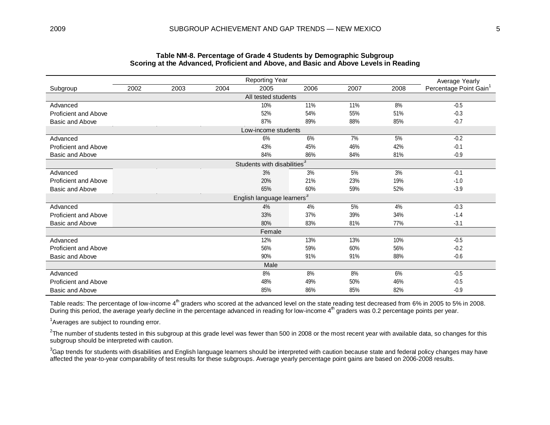|                             | <b>Reporting Year</b> |      |      |                                         |      |      |      |                                                      |  |  |  |  |
|-----------------------------|-----------------------|------|------|-----------------------------------------|------|------|------|------------------------------------------------------|--|--|--|--|
| Subgroup                    | 2002                  | 2003 | 2004 | 2005                                    | 2006 | 2007 | 2008 | Average Yearly<br>Percentage Point Gain <sup>1</sup> |  |  |  |  |
|                             |                       |      |      | All tested students                     |      |      |      |                                                      |  |  |  |  |
| Advanced                    |                       |      |      | 10%                                     | 11%  | 11%  | 8%   | $-0.5$                                               |  |  |  |  |
| Proficient and Above        |                       |      |      | 52%                                     | 54%  | 55%  | 51%  | $-0.3$                                               |  |  |  |  |
| Basic and Above             |                       |      |      | 87%                                     | 89%  | 88%  | 85%  | $-0.7$                                               |  |  |  |  |
|                             |                       |      |      | Low-income students                     |      |      |      |                                                      |  |  |  |  |
| Advanced                    |                       |      |      | 6%                                      | 6%   | 7%   | 5%   | $-0.2$                                               |  |  |  |  |
| Proficient and Above        |                       |      |      | 43%                                     | 45%  | 46%  | 42%  | $-0.1$                                               |  |  |  |  |
| Basic and Above             |                       |      |      | 84%                                     | 86%  | 84%  | 81%  | $-0.9$                                               |  |  |  |  |
|                             |                       |      |      | Students with disabilities <sup>3</sup> |      |      |      |                                                      |  |  |  |  |
| Advanced                    |                       |      |      | 3%                                      | 3%   | 5%   | 3%   | $-0.1$                                               |  |  |  |  |
| Proficient and Above        |                       |      |      | 20%                                     | 21%  | 23%  | 19%  | $-1.0$                                               |  |  |  |  |
| Basic and Above             |                       |      |      | 65%                                     | 60%  | 59%  | 52%  | $-3.9$                                               |  |  |  |  |
|                             |                       |      |      | English language learners <sup>3</sup>  |      |      |      |                                                      |  |  |  |  |
| Advanced                    |                       |      |      | 4%                                      | 4%   | 5%   | 4%   | $-0.3$                                               |  |  |  |  |
| Proficient and Above        |                       |      |      | 33%                                     | 37%  | 39%  | 34%  | $-1.4$                                               |  |  |  |  |
| Basic and Above             |                       |      |      | 80%                                     | 83%  | 81%  | 77%  | $-3.1$                                               |  |  |  |  |
|                             |                       |      |      | Female                                  |      |      |      |                                                      |  |  |  |  |
| Advanced                    |                       |      |      | 12%                                     | 13%  | 13%  | 10%  | $-0.5$                                               |  |  |  |  |
| Proficient and Above        |                       |      |      | 56%                                     | 59%  | 60%  | 56%  | $-0.2$                                               |  |  |  |  |
| Basic and Above             |                       |      |      | 90%                                     | 91%  | 91%  | 88%  | $-0.6$                                               |  |  |  |  |
|                             |                       |      |      | Male                                    |      |      |      |                                                      |  |  |  |  |
| Advanced                    |                       |      |      | 8%                                      | 8%   | 8%   | 6%   | $-0.5$                                               |  |  |  |  |
| <b>Proficient and Above</b> |                       |      |      | 48%                                     | 49%  | 50%  | 46%  | $-0.5$                                               |  |  |  |  |
| <b>Basic and Above</b>      |                       |      |      | 85%                                     | 86%  | 85%  | 82%  | $-0.9$                                               |  |  |  |  |

#### **Table NM-8. Percentage of Grade 4 Students by Demographic Subgroup Scoring at the Advanced, Proficient and Above, and Basic and Above Levels in Reading**

Table reads: The percentage of low-income 4<sup>th</sup> graders who scored at the advanced level on the state reading test decreased from 6% in 2005 to 5% in 2008. During this period, the average yearly decline in the percentage advanced in reading for low-income 4<sup>th</sup> graders was 0.2 percentage points per year.

<sup>1</sup>Averages are subject to rounding error.

 $^2$ The number of students tested in this subgroup at this grade level was fewer than 500 in 2008 or the most recent year with available data, so changes for this subgroup should be interpreted with caution.

 ${}^{3}$ Gap trends for students with disabilities and English language learners should be interpreted with caution because state and federal policy changes may have affected the year-to-year comparability of test results for these subgroups. Average yearly percentage point gains are based on 2006-2008 results.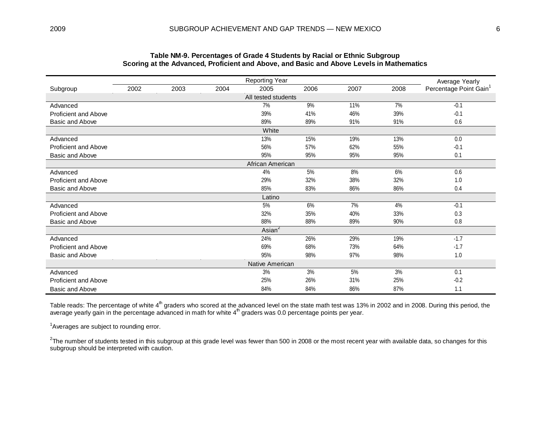|                             | <b>Reporting Year</b> |      |      |                     |      |      |      |                                                      |  |  |  |
|-----------------------------|-----------------------|------|------|---------------------|------|------|------|------------------------------------------------------|--|--|--|
| Subgroup                    | 2002                  | 2003 | 2004 | 2005                | 2006 | 2007 | 2008 | Average Yearly<br>Percentage Point Gain <sup>1</sup> |  |  |  |
|                             |                       |      |      | All tested students |      |      |      |                                                      |  |  |  |
| Advanced                    |                       |      |      | 7%                  | 9%   | 11%  | 7%   | $-0.1$                                               |  |  |  |
| <b>Proficient and Above</b> |                       |      |      | 39%                 | 41%  | 46%  | 39%  | $-0.1$                                               |  |  |  |
| Basic and Above             |                       |      |      | 89%                 | 89%  | 91%  | 91%  | 0.6                                                  |  |  |  |
|                             |                       |      |      | White               |      |      |      |                                                      |  |  |  |
| Advanced                    |                       |      |      | 13%                 | 15%  | 19%  | 13%  | 0.0                                                  |  |  |  |
| <b>Proficient and Above</b> |                       |      |      | 56%                 | 57%  | 62%  | 55%  | $-0.1$                                               |  |  |  |
| Basic and Above             |                       |      |      | 95%                 | 95%  | 95%  | 95%  | 0.1                                                  |  |  |  |
|                             |                       |      |      | African American    |      |      |      |                                                      |  |  |  |
| Advanced                    |                       |      |      | 4%                  | 5%   | 8%   | 6%   | 0.6                                                  |  |  |  |
| <b>Proficient and Above</b> |                       |      |      | 29%                 | 32%  | 38%  | 32%  | 1.0                                                  |  |  |  |
| Basic and Above             |                       |      |      | 85%                 | 83%  | 86%  | 86%  | 0.4                                                  |  |  |  |
|                             |                       |      |      | Latino              |      |      |      |                                                      |  |  |  |
| Advanced                    |                       |      |      | 5%                  | 6%   | 7%   | 4%   | $-0.1$                                               |  |  |  |
| <b>Proficient and Above</b> |                       |      |      | 32%                 | 35%  | 40%  | 33%  | 0.3                                                  |  |  |  |
| <b>Basic and Above</b>      |                       |      |      | 88%                 | 88%  | 89%  | 90%  | 0.8                                                  |  |  |  |
|                             |                       |      |      | Asian <sup>2</sup>  |      |      |      |                                                      |  |  |  |
| Advanced                    |                       |      |      | 24%                 | 26%  | 29%  | 19%  | $-1.7$                                               |  |  |  |
| <b>Proficient and Above</b> |                       |      |      | 69%                 | 68%  | 73%  | 64%  | $-1.7$                                               |  |  |  |
| Basic and Above             |                       |      |      | 95%                 | 98%  | 97%  | 98%  | 1.0                                                  |  |  |  |
|                             |                       |      |      | Native American     |      |      |      |                                                      |  |  |  |
| Advanced                    |                       |      |      | 3%                  | 3%   | 5%   | 3%   | 0.1                                                  |  |  |  |
| <b>Proficient and Above</b> |                       |      |      | 25%                 | 26%  | 31%  | 25%  | $-0.2$                                               |  |  |  |
| Basic and Above             |                       |      |      | 84%                 | 84%  | 86%  | 87%  | 1.1                                                  |  |  |  |

### **Table NM-9. Percentages of Grade 4 Students by Racial or Ethnic Subgroup Scoring at the Advanced, Proficient and Above, and Basic and Above Levels in Mathematics**

Table reads: The percentage of white 4<sup>th</sup> graders who scored at the advanced level on the state math test was 13% in 2002 and in 2008. During this period, the average yearly gain in the percentage advanced in math for white  $4^{\text{th}}$  graders was 0.0 percentage points per year.

<sup>1</sup>Averages are subject to rounding error.

 $^2$ The number of students tested in this subgroup at this grade level was fewer than 500 in 2008 or the most recent year with available data, so changes for this subgroup should be interpreted with caution.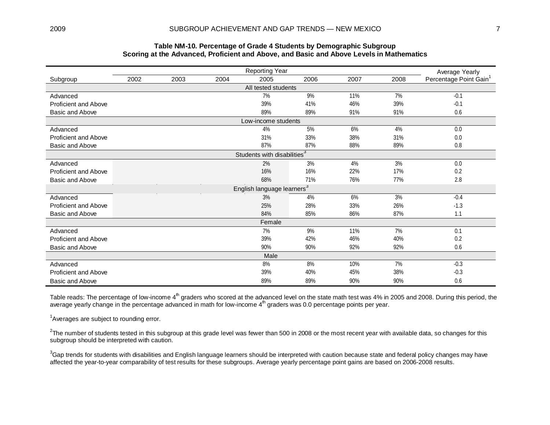### **Table NM-10. Percentage of Grade 4 Students by Demographic Subgroup Scoring at the Advanced, Proficient and Above, and Basic and Above Levels in Mathematics**

|                             | Average Yearly |      |      |                                         |      |      |      |                                    |
|-----------------------------|----------------|------|------|-----------------------------------------|------|------|------|------------------------------------|
| Subgroup                    | 2002           | 2003 | 2004 | 2005                                    | 2006 | 2007 | 2008 | Percentage Point Gain <sup>1</sup> |
|                             |                |      |      | All tested students                     |      |      |      |                                    |
| Advanced                    |                |      |      | 7%                                      | 9%   | 11%  | 7%   | $-0.1$                             |
| <b>Proficient and Above</b> |                |      |      | 39%                                     | 41%  | 46%  | 39%  | $-0.1$                             |
| Basic and Above             |                |      |      | 89%                                     | 89%  | 91%  | 91%  | 0.6                                |
|                             |                |      |      | Low-income students                     |      |      |      |                                    |
| Advanced                    |                |      |      | 4%                                      | 5%   | 6%   | 4%   | 0.0                                |
| Proficient and Above        |                |      |      | 31%                                     | 33%  | 38%  | 31%  | 0.0                                |
| Basic and Above             |                |      |      | 87%                                     | 87%  | 88%  | 89%  | 0.8                                |
|                             |                |      |      | Students with disabilities <sup>3</sup> |      |      |      |                                    |
| Advanced                    |                |      |      | 2%                                      | 3%   | 4%   | 3%   | 0.0                                |
| Proficient and Above        |                |      |      | 16%                                     | 16%  | 22%  | 17%  | 0.2                                |
| Basic and Above             |                |      |      | 68%                                     | 71%  | 76%  | 77%  | 2.8                                |
|                             |                |      |      | English language learners $^3$          |      |      |      |                                    |
| Advanced                    |                |      |      | 3%                                      | 4%   | 6%   | 3%   | $-0.4$                             |
| <b>Proficient and Above</b> |                |      |      | 25%                                     | 28%  | 33%  | 26%  | $-1.3$                             |
| Basic and Above             |                |      |      | 84%                                     | 85%  | 86%  | 87%  | 1.1                                |
|                             |                |      |      | Female                                  |      |      |      |                                    |
| Advanced                    |                |      |      | 7%                                      | 9%   | 11%  | 7%   | 0.1                                |
| Proficient and Above        |                |      |      | 39%                                     | 42%  | 46%  | 40%  | 0.2                                |
| Basic and Above             |                |      |      | 90%                                     | 90%  | 92%  | 92%  | 0.6                                |
|                             |                |      |      | Male                                    |      |      |      |                                    |
| Advanced                    |                |      |      | 8%                                      | 8%   | 10%  | 7%   | $-0.3$                             |
| Proficient and Above        |                |      |      | 39%                                     | 40%  | 45%  | 38%  | $-0.3$                             |
| Basic and Above             |                |      |      | 89%                                     | 89%  | 90%  | 90%  | 0.6                                |

Table reads: The percentage of low-income 4<sup>th</sup> graders who scored at the advanced level on the state math test was 4% in 2005 and 2008. During this period, the average yearly change in the percentage advanced in math for low-income 4<sup>th</sup> graders was 0.0 percentage points per year.

<sup>1</sup>Averages are subject to rounding error.

 $^2$ The number of students tested in this subgroup at this grade level was fewer than 500 in 2008 or the most recent year with available data, so changes for this subgroup should be interpreted with caution.

 $^3$ Gap trends for students with disabilities and English language learners should be interpreted with caution because state and federal policy changes may have affected the year-to-year comparability of test results for these subgroups. Average yearly percentage point gains are based on 2006-2008 results.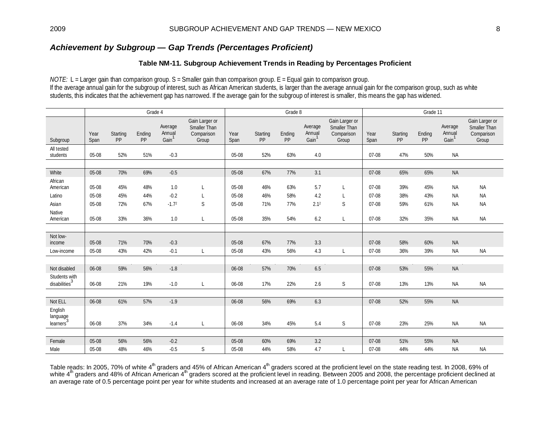## *Achievement by Subgroup — Gap Trends (Percentages Proficient)*

### **Table NM-11. Subgroup Achievement Trends in Reading by Percentages Proficient**

*NOTE:* L = Larger gain than comparison group. S = Smaller gain than comparison group. E = Equal gain to comparison group. If the average annual gain for the subgroup of interest, such as African American students, is larger than the average annual gain for the comparison group, such as white students, this indicates that the achievement gap has narrowed. If the average gain for the subgroup of interest is smaller, this means the gap has widened.

|                                            |              |                | Grade 4      |                                        |                                                              |              |                | Grade 8      |                                        |                                                              |              |                | Grade 11     |                                        |                                                       |  |  |
|--------------------------------------------|--------------|----------------|--------------|----------------------------------------|--------------------------------------------------------------|--------------|----------------|--------------|----------------------------------------|--------------------------------------------------------------|--------------|----------------|--------------|----------------------------------------|-------------------------------------------------------|--|--|
| Subgroup                                   | Year<br>Span | Starting<br>PP | Ending<br>PP | Average<br>Annual<br>Gain <sup>1</sup> | Gain Larger or<br><b>Smaller Than</b><br>Comparison<br>Group | Year<br>Span | Starting<br>PP | Ending<br>PP | Average<br>Annual<br>Gain <sup>1</sup> | Gain Larger or<br><b>Smaller Than</b><br>Comparison<br>Group | Year<br>Span | Starting<br>PP | Ending<br>PP | Average<br>Annual<br>Gain <sup>1</sup> | Gain Larger or<br>Smaller Than<br>Comparison<br>Group |  |  |
| All tested                                 |              |                |              |                                        |                                                              |              |                |              |                                        |                                                              |              |                |              |                                        |                                                       |  |  |
| students                                   | 05-08        | 52%            | 51%          | $-0.3$                                 |                                                              | 05-08        | 52%            | 63%          | 4.0                                    |                                                              | 07-08        | 47%            | 50%          | <b>NA</b>                              |                                                       |  |  |
|                                            |              |                |              |                                        |                                                              |              |                |              |                                        |                                                              |              |                |              |                                        |                                                       |  |  |
| White                                      | 05-08        | 70%            | 69%          | $-0.5$                                 |                                                              | 05-08        | 67%            | 77%          | 3.1                                    |                                                              | 07-08        | 65%            | 65%          | <b>NA</b>                              |                                                       |  |  |
| African<br>American                        | 05-08        | 45%            | 48%          | 1.0                                    | L                                                            | 05-08        | 46%            | 63%          | 5.7                                    | L                                                            | $07-08$      | 39%            | 45%          | <b>NA</b>                              | <b>NA</b>                                             |  |  |
| Latino                                     | 05-08        | 45%            | 44%          | $-0.2$                                 | L                                                            | 05-08        | 46%            | 58%          | 4.2                                    | L                                                            | $07-08$      | 38%            | 43%          | <b>NA</b>                              | <b>NA</b>                                             |  |  |
| Asian                                      | 05-08        | 72%            | 67%          | $-1.72$                                | S                                                            | 05-08        | 71%            | 77%          | 2.1 <sup>2</sup>                       | S                                                            | $07-08$      | 59%            | 61%          | <b>NA</b>                              | <b>NA</b>                                             |  |  |
| Native<br>American                         | 05-08        | 33%            | 36%          | 1.0                                    | L                                                            | 05-08        | 35%            | 54%          | 6.2                                    | L                                                            | 07-08        | 32%            | 35%          | <b>NA</b>                              | <b>NA</b>                                             |  |  |
|                                            |              |                |              |                                        |                                                              |              |                |              |                                        |                                                              |              |                |              |                                        |                                                       |  |  |
| Not low-<br>income                         | 05-08        | 71%            | 70%          | $-0.3$                                 |                                                              | 05-08        | 67%            | 77%          | 3.3                                    |                                                              | $07-08$      | 58%            | 60%          | <b>NA</b>                              |                                                       |  |  |
| Low-income                                 | 05-08        | 43%            | 42%          | $-0.1$                                 | L                                                            | 05-08        | 43%            | 56%          | 4.3                                    | L                                                            | $07 - 08$    | 36%            | 39%          | <b>NA</b>                              | NA                                                    |  |  |
|                                            |              |                |              |                                        |                                                              |              |                |              |                                        |                                                              |              |                |              |                                        |                                                       |  |  |
| Not disabled                               | 06-08        | 59%            | 56%          | $-1.8$                                 |                                                              | 06-08        | 57%            | 70%          | 6.5                                    |                                                              | $07-08$      | 53%            | 55%          | <b>NA</b>                              |                                                       |  |  |
| Students with<br>disabilities <sup>3</sup> | 06-08        | 21%            | 19%          | $-1.0$                                 | L                                                            | 06-08        | 17%            | 22%          | 2.6                                    | S                                                            | 07-08        | 13%            | 13%          | <b>NA</b>                              | <b>NA</b>                                             |  |  |
|                                            |              |                |              |                                        |                                                              |              |                |              |                                        |                                                              |              |                |              |                                        |                                                       |  |  |
| Not ELL                                    | 06-08        | 61%            | 57%          | $-1.9$                                 |                                                              | 06-08        | 56%            | 69%          | 6.3                                    |                                                              | 07-08        | 52%            | 55%          | <b>NA</b>                              |                                                       |  |  |
| English<br>language<br>learners'           | 06-08        | 37%            | 34%          | $-1.4$                                 | L                                                            | 06-08        | 34%            | 45%          | 5.4                                    | S                                                            | 07-08        | 23%            | 25%          | <b>NA</b>                              | <b>NA</b>                                             |  |  |
|                                            |              |                |              |                                        |                                                              |              |                |              |                                        |                                                              |              |                |              |                                        |                                                       |  |  |
| Female                                     | 05-08        | 56%            | 56%          | $-0.2$                                 |                                                              | 05-08        | 60%            | 69%          | 3.2                                    |                                                              | $07-08$      | 51%            | 55%          | <b>NA</b>                              |                                                       |  |  |
| Male                                       | 05-08        | 48%            | 46%          | $-0.5$                                 | S                                                            | 05-08        | 44%            | 58%          | 4.7                                    | L                                                            | $07-08$      | 44%            | 44%          | <b>NA</b>                              | <b>NA</b>                                             |  |  |

Table reads: In 2005, 70% of white 4<sup>th</sup> graders and 45% of African American 4<sup>th</sup> graders scored at the proficient level on the state reading test. In 2008, 69% of white 4<sup>th</sup> graders and 48% of African American 4<sup>th</sup> graders scored at the proficient level in reading. Between 2005 and 2008, the percentage proficient declined at an average rate of 0.5 percentage point per year for white students and increased at an average rate of 1.0 percentage point per year for African American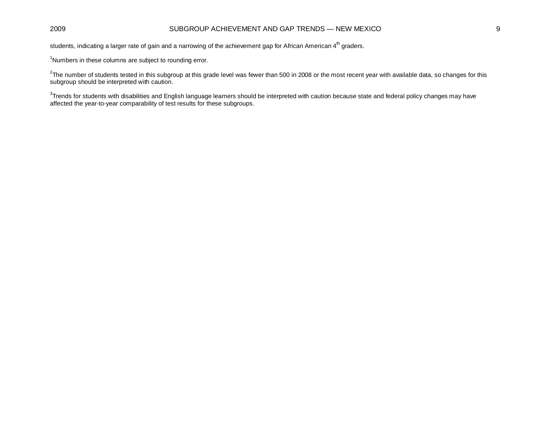### 2009 SUBGROUP ACHIEVEMENT AND GAP TRENDS — NEW MEXICO 9

students, indicating a larger rate of gain and a narrowing of the achievement gap for African American 4<sup>th</sup> graders.

<sup>1</sup>Numbers in these columns are subject to rounding error.

 $^2$ The number of students tested in this subgroup at this grade level was fewer than 500 in 2008 or the most recent year with available data, so changes for this subgroup should be interpreted with caution.

 ${}^{3}$ Trends for students with disabilities and English language learners should be interpreted with caution because state and federal policy changes may have affected the year-to-year comparability of test results for these subgroups.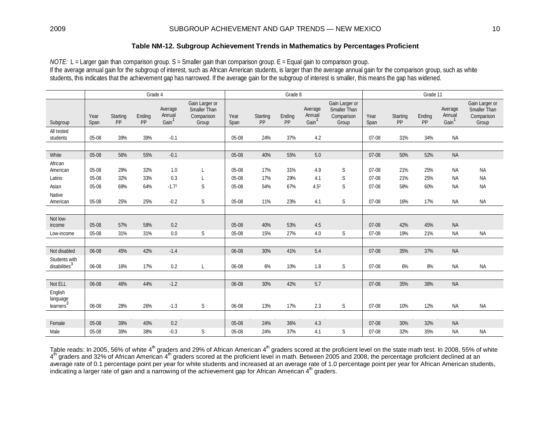### **Table NM-12. Subgroup Achievement Trends in Mathematics by Percentages Proficient**

*NOTE:* L = Larger gain than comparison group. S = Smaller gain than comparison group. E = Equal gain to comparison group. If the average annual gain for the subgroup of interest, such as African American students, is larger than the average annual gain for the comparison group, such as white students, this indicates that the achievement gap has narrowed. If the average gain for the subgroup of interest is smaller, this means the gap has widened.

|                                            |              |                | Grade 4      |                                        |                                                              |              |                | Grade 8      |                                        |                                                       | Grade 11     |                |              |                                        |                                                       |
|--------------------------------------------|--------------|----------------|--------------|----------------------------------------|--------------------------------------------------------------|--------------|----------------|--------------|----------------------------------------|-------------------------------------------------------|--------------|----------------|--------------|----------------------------------------|-------------------------------------------------------|
| Subgroup                                   | Year<br>Span | Starting<br>PP | Ending<br>PP | Average<br>Annual<br>Gain <sup>1</sup> | Gain Larger or<br><b>Smaller Than</b><br>Comparison<br>Group | Year<br>Span | Starting<br>PP | Ending<br>PP | Average<br>Annual<br>Gain <sup>1</sup> | Gain Larger or<br>Smaller Than<br>Comparison<br>Group | Year<br>Span | Starting<br>PP | Ending<br>PP | Average<br>Annual<br>Gain <sup>1</sup> | Gain Larger or<br>Smaller Than<br>Comparison<br>Group |
| All tested<br>students                     | 05-08        | 39%            | 39%          | $-0.1$                                 |                                                              | 05-08        | 24%            | 37%          | 4.2                                    |                                                       | 07-08        | 31%            | 34%          | <b>NA</b>                              |                                                       |
|                                            |              |                |              |                                        |                                                              |              |                |              |                                        |                                                       |              |                |              |                                        |                                                       |
| White                                      | 05-08        | 56%            | 55%          | $-0.1$                                 |                                                              | 05-08        | 40%            | 55%          | 5.0                                    |                                                       | 07-08        | 50%            | 52%          | <b>NA</b>                              |                                                       |
| African<br>American                        | 05-08        | 29%            | 32%          | 1.0                                    | L                                                            | 05-08        | 17%            | 31%          | 4.9                                    | $\mathsf S$                                           | 07-08        | 21%            | 25%          | <b>NA</b>                              | <b>NA</b>                                             |
| Latino                                     | 05-08        | 32%            | 33%          | 0.3                                    | L                                                            | 05-08        | 17%            | 29%          | 4.1                                    | S                                                     | $07 - 08$    | 21%            | 25%          | <b>NA</b>                              | <b>NA</b>                                             |
| Asian<br>Native                            | 05-08        | 69%            | 64%          | $-1.72$                                | S                                                            | 05-08        | 54%            | 67%          | 4.5 <sup>2</sup>                       | S                                                     | $07 - 08$    | 58%            | 60%          | NA                                     | <b>NA</b>                                             |
| American                                   | 05-08        | 25%            | 25%          | $-0.2$                                 | S                                                            | 05-08        | 11%            | 23%          | 4.1                                    | $\mathsf S$                                           | 07-08        | 16%            | 17%          | <b>NA</b>                              | <b>NA</b>                                             |
|                                            |              |                |              |                                        |                                                              |              |                |              |                                        |                                                       |              |                |              |                                        |                                                       |
| Not low-<br>income                         | 05-08        | 57%            | 58%          | 0.2                                    |                                                              | 05-08        | 40%            | 53%          | 4.5                                    |                                                       | $07-08$      | 42%            | 45%          | <b>NA</b>                              |                                                       |
| Low-income                                 | 05-08        | 31%            | 31%          | 0.0                                    | S                                                            | 05-08        | 15%            | 27%          | 4.0                                    | S                                                     | 07-08        | 19%            | 21%          | <b>NA</b>                              | <b>NA</b>                                             |
|                                            |              |                |              |                                        |                                                              |              |                |              |                                        |                                                       |              |                |              |                                        |                                                       |
| Not disabled                               | 06-08        | 45%            | 42%          | $-1.4$                                 |                                                              | 06-08        | 30%            | 41%          | 5.4                                    |                                                       | $07-08$      | 35%            | 37%          | <b>NA</b>                              |                                                       |
| Students with<br>disabilities <sup>3</sup> | 06-08        | 16%            | 17%          | 0.2                                    | L                                                            | 06-08        | $6\%$          | 10%          | 1.8                                    | $\mathsf S$                                           | 07-08        | 6%             | 8%           | NA                                     | <b>NA</b>                                             |
|                                            |              |                |              |                                        |                                                              |              |                |              |                                        |                                                       |              |                |              |                                        |                                                       |
| Not ELL                                    | 06-08        | 46%            | 44%          | $-1.2$                                 |                                                              | 06-08        | 30%            | 42%          | 5.7                                    |                                                       | $07-08$      | 35%            | 38%          | <b>NA</b>                              |                                                       |
| English<br>language<br>learners'           | 06-08        | 28%            | 26%          | $-1.3$                                 | S                                                            | 06-08        | 13%            | 17%          | 2.3                                    | S                                                     | 07-08        | 10%            | 12%          | <b>NA</b>                              | <b>NA</b>                                             |
|                                            |              |                |              |                                        |                                                              |              |                |              |                                        |                                                       |              |                |              |                                        |                                                       |
| Female                                     | 05-08        | 39%            | 40%          | 0.2                                    |                                                              | 05-08        | 24%            | 36%          | 4.3                                    |                                                       | 07-08        | 30%            | 32%          | <b>NA</b>                              |                                                       |
| Male                                       | 05-08        | 39%            | 38%          | $-0.3$                                 | S                                                            | 05-08        | 24%            | 37%          | 4.1                                    | S                                                     | 07-08        | 32%            | 35%          | <b>NA</b>                              | <b>NA</b>                                             |

Table reads: In 2005, 56% of white  $4<sup>th</sup>$  graders and 29% of African American  $4<sup>th</sup>$  graders scored at the proficient level on the state math test. In 2008, 55% of white  $4<sup>th</sup>$  graders and 32% of African American  $4<sup>th</sup>$  graders scored at the proficient level in math. Between 2005 and 2008, the percentage proficient declined at an average rate of 0.1 percentage point per year for white students and increased at an average rate of 1.0 percentage point per year for African American students, indicating a larger rate of gain and a narrowing of the achievement gap for African American 4<sup>th</sup> graders.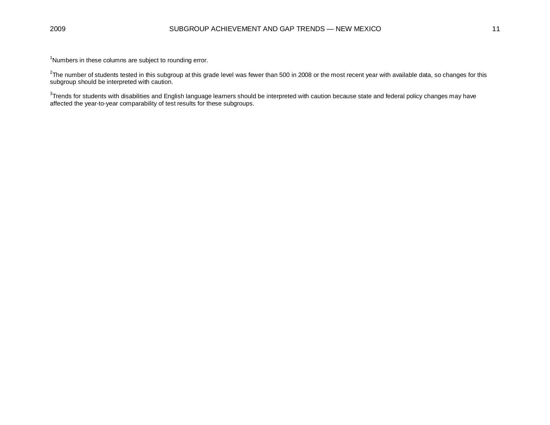<sup>1</sup>Numbers in these columns are subject to rounding error.

 $^2$ The number of students tested in this subgroup at this grade level was fewer than 500 in 2008 or the most recent year with available data, so changes for this subgroup should be interpreted with caution.

 ${}^{3}$ Trends for students with disabilities and English language learners should be interpreted with caution because state and federal policy changes may have affected the year-to-year comparability of test results for these subgroups.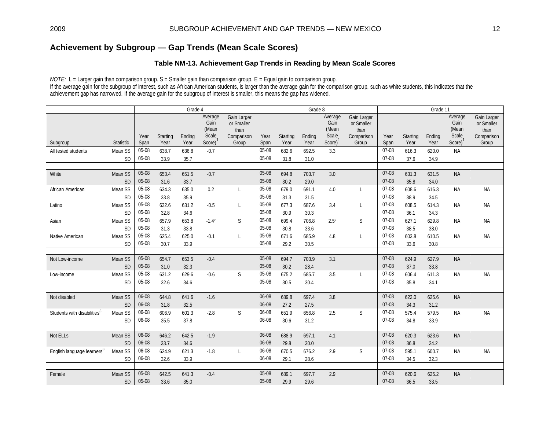## **Achievement by Subgroup — Gap Trends (Mean Scale Scores)**

### **Table NM-13. Achievement Gap Trends in Reading by Mean Scale Scores**

*NOTE:* L = Larger gain than comparison group. S = Smaller gain than comparison group. E = Equal gain to comparison group. If the average gain for the subgroup of interest, such as African American students, is larger than the average gain for the comparison group, such as white students, this indicates that the achievement gap has narrowed. If the average gain for the subgroup of interest is smaller, this means the gap has widened.

|                                         |                      |              |                  | Grade 4        |                          |                                   | Grade 8      |                  |                |                              |                                   | Grade 11     |                  |                |                          |                                   |
|-----------------------------------------|----------------------|--------------|------------------|----------------|--------------------------|-----------------------------------|--------------|------------------|----------------|------------------------------|-----------------------------------|--------------|------------------|----------------|--------------------------|-----------------------------------|
|                                         |                      |              |                  |                | Average<br>Gain<br>(Mean | Gain Larger<br>or Smaller<br>than |              |                  |                | Average<br>Gain<br>(Mean     | Gain Larger<br>or Smaller<br>than |              |                  |                | Average<br>Gain<br>(Mean | Gain Larger<br>or Smaller<br>than |
| Subgroup                                | Statistic            | Year<br>Span | Starting<br>Year | Ending<br>Year | Scale<br>Score)          | Comparison<br>Group               | Year<br>Span | Starting<br>Year | Ending<br>Year | Scale<br>Score) <sup>1</sup> | Comparison<br>Group               | Year<br>Span | Starting<br>Year | Ending<br>Year | Scale<br>$Score)^{1}$    | Comparison<br>Group               |
| All tested students                     | Mean SS              | 05-08        | 638.7            | 636.8          | $-0.7$                   |                                   | 05-08        | 682.6            | 692.5          | 3.3                          |                                   | 07-08        | 616.3            | 620.0          | <b>NA</b>                |                                   |
|                                         | <b>SD</b>            | 05-08        | 33.9             | 35.7           |                          |                                   | 05-08        | 31.8             | 31.0           |                              |                                   | 07-08        | 37.6             | 34.9           |                          |                                   |
|                                         |                      |              |                  |                |                          |                                   |              |                  |                |                              |                                   |              |                  |                |                          |                                   |
| White                                   | Mean SS              | 05-08        | 653.4            | 651.5          | $-0.7$                   |                                   | 05-08        | 694.8            | 703.7          | 3.0                          |                                   | 07-08        | 631.3            | 631.5          | <b>NA</b>                |                                   |
|                                         | <b>SD</b>            | 05-08        | 31.6             | 33.7           |                          |                                   | 05-08        | 30.2             | 29.0           |                              |                                   | 07-08        | 35.8             | 34.0           |                          |                                   |
| African American                        | Mean SS              | 05-08        | 634.3            | 635.0          | 0.2                      | L                                 | 05-08        | 679.0            | 691.1          | 4.0                          | L                                 | 07-08        | 608.6            | 616.3          | <b>NA</b>                | <b>NA</b>                         |
|                                         | <b>SD</b>            | 05-08        | 33.8             | 35.9           |                          |                                   | 05-08        | 31.3             | 31.5           |                              |                                   | 07-08        | 38.9             | 34.5           |                          |                                   |
| Latino                                  | Mean SS              | 05-08        | 632.6            | 631.2          | $-0.5$                   | L                                 | 05-08        | 677.3            | 687.6          | 3.4                          | L                                 | 07-08        | 608.5            | 614.3          | <b>NA</b>                | <b>NA</b>                         |
|                                         | <b>SD</b>            | 05-08        | 32.8             | 34.6           |                          |                                   | 05-08        | 30.9             | 30.3           |                              |                                   | 07-08        | 36.1             | 34.3           |                          |                                   |
| Asian                                   | Mean SS              | 05-08        | 657.9            | 653.8          | $-1.42$                  | S                                 | 05-08        | 699.4            | 706.8          | 2.5 <sup>2</sup>             | S                                 | 07-08        | 627.1            | 629.8          | <b>NA</b>                | <b>NA</b>                         |
|                                         | <b>SD</b>            | 05-08        | 31.3             | 33.8           |                          |                                   | 05-08        | 30.8             | 33.6           |                              |                                   | 07-08        | 38.5             | 38.0           |                          |                                   |
| Native American                         | Mean SS              | 05-08        | 625.4            | 625.0          | $-0.1$                   | L                                 | 05-08        | 671.6            | 685.9          | 4.8                          | L                                 | 07-08        | 603.8            | 610.5          | <b>NA</b>                | <b>NA</b>                         |
|                                         | <b>SD</b>            | 05-08        | 30.7             | 33.9           |                          |                                   | 05-08        | 29.2             | 30.5           |                              |                                   | 07-08        | 33.6             | 30.8           |                          |                                   |
|                                         |                      |              |                  |                |                          |                                   |              |                  |                |                              |                                   |              |                  |                |                          |                                   |
| Not Low-income                          | Mean SS              | 05-08        | 654.7            | 653.5          | $-0.4$                   |                                   | 05-08        | 694.7            | 703.9          | 3.1                          |                                   | 07-08        | 624.9            | 627.9          | <b>NA</b>                |                                   |
|                                         | <b>SD</b>            | 05-08        | 31.0             | 32.3           |                          |                                   | 05-08        | 30.2             | 28.4           |                              |                                   | 07-08        | 37.0             | 33.8           |                          |                                   |
| Low-income                              | Mean SS              | 05-08        | 631.2            | 629.6          | $-0.6$                   | S                                 | 05-08        | 675.2            | 685.7          | 3.5                          | L                                 | 07-08        | 606.4            | 611.3          | <b>NA</b>                | <b>NA</b>                         |
|                                         | SD                   | 05-08        | 32.6             | 34.6           |                          |                                   | 05-08        | 30.5             | 30.4           |                              |                                   | 07-08        | 35.8             | 34.1           |                          |                                   |
|                                         |                      | 06-08        |                  |                |                          |                                   | 06-08        |                  |                | 3.8                          |                                   | 07-08        |                  |                |                          |                                   |
| Not disabled                            | Mean SS<br><b>SD</b> | 06-08        | 644.8<br>31.8    | 641.6<br>32.5  | $-1.6$                   |                                   | 06-08        | 689.8<br>27.2    | 697.4<br>27.5  |                              |                                   | 07-08        | 622.0<br>34.3    | 625.6<br>31.2  | <b>NA</b>                |                                   |
| Students with disabilities <sup>3</sup> | Mean SS              | 06-08        | 606.9            | 601.3          | $-2.8$                   | S                                 | 06-08        | 651.9            | 656.8          | 2.5                          | S                                 | 07-08        | 575.4            | 579.5          |                          | <b>NA</b>                         |
|                                         | <b>SD</b>            | 06-08        | 35.5             | 37.8           |                          |                                   | 06-08        | 30.6             | 31.2           |                              |                                   | 07-08        | 34.8             | 33.9           | <b>NA</b>                |                                   |
|                                         |                      |              |                  |                |                          |                                   |              |                  |                |                              |                                   |              |                  |                |                          |                                   |
| Not ELLs                                | Mean SS              | 06-08        | 646.2            | 642.5          | $-1.9$                   |                                   | 06-08        | 688.9            | 697.1          | 4.1                          |                                   | 07-08        | 620.3            | 623.6          | <b>NA</b>                |                                   |
|                                         | <b>SD</b>            | 06-08        | 33.7             | 34.6           |                          |                                   | 06-08        | 29.8             | 30.0           |                              |                                   | 07-08        | 36.8             | 34.2           |                          |                                   |
| English language learners <sup>3</sup>  | Mean SS              | 06-08        | 624.9            | 621.3          | $-1.8$                   | L                                 | 06-08        | 670.5            | 676.2          | 2.9                          | S                                 | 07-08        | 595.1            | 600.7          | <b>NA</b>                | <b>NA</b>                         |
|                                         | <b>SD</b>            | 06-08        | 32.6             | 33.9           |                          |                                   | 06-08        | 29.1             | 28.6           |                              |                                   | 07-08        | 34.5             | 32.3           |                          |                                   |
|                                         |                      |              |                  |                |                          |                                   |              |                  |                |                              |                                   |              |                  |                |                          |                                   |
| Female                                  | Mean SS              | 05-08        | 642.5            | 641.3          | $-0.4$                   |                                   | 05-08        | 689.1            | 697.7          | 2.9                          |                                   | 07-08        | 620.6            | 625.2          | <b>NA</b>                |                                   |
|                                         | <b>SD</b>            | 05-08        | 33.6             | 35.0           |                          |                                   | 05-08        | 29.9             | 29.6           |                              |                                   | $07-08$      | 36.5             | 33.5           |                          |                                   |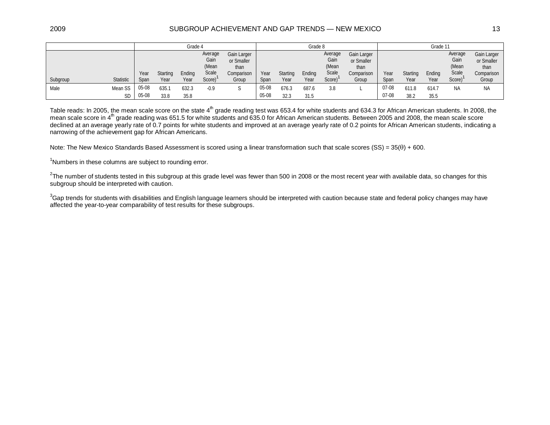#### 2009 SUBGROUP ACHIEVEMENT AND GAP TRENDS — NEW MEXICO 13

|          |                      |                |                  | Grade 4        |                                             |                                                          |                |                  | Grade 8        |                                             |                                                          | Grade 11         |                  |                |                                             |                                                          |
|----------|----------------------|----------------|------------------|----------------|---------------------------------------------|----------------------------------------------------------|----------------|------------------|----------------|---------------------------------------------|----------------------------------------------------------|------------------|------------------|----------------|---------------------------------------------|----------------------------------------------------------|
| Subgroup | <b>Statistic</b>     | Year<br>Span   | Starting<br>Year | Ending<br>Year | Average<br>Gain<br>(Mean<br>Scale<br>Score) | Gain Larger<br>or Smaller<br>than<br>Comparison<br>Group | Year<br>Span   | Starting<br>Year | Ending<br>Year | Average<br>Gain<br>(Mean<br>Scale<br>Score) | Gain Larger<br>or Smaller<br>than<br>Comparison<br>Group | Year<br>Span     | Starting<br>Year | Ending<br>Year | Average<br>Gain<br>(Mean<br>Scale<br>Score) | Gain Larger<br>or Smaller<br>than<br>Comparison<br>Group |
| Male     | Mean SS<br><b>SD</b> | 05-08<br>05-08 | 635.1<br>33.8    | 632.3<br>35.8  | $-0.9$                                      |                                                          | 05-08<br>05-08 | 676.3<br>32.3    | 687.6<br>31.5  | 3.8                                         |                                                          | $07-08$<br>07-08 | 611.8<br>38.2    | 614.7<br>35.5  | <b>NA</b>                                   | <b>NA</b>                                                |

Table reads: In 2005, the mean scale score on the state 4<sup>th</sup> grade reading test was 653.4 for white students and 634.3 for African American students. In 2008, the mean scale score in 4<sup>th</sup> grade reading was 651.5 for white students and 635.0 for African American students. Between 2005 and 2008, the mean scale score declined at an average yearly rate of 0.7 points for white students and improved at an average yearly rate of 0.2 points for African American students, indicating a narrowing of the achievement gap for African Americans.

Note: The New Mexico Standards Based Assessment is scored using a linear transformation such that scale scores  $(SS) = 35(θ) + 600$ .

<sup>1</sup>Numbers in these columns are subject to rounding error.

 $^2$ The number of students tested in this subgroup at this grade level was fewer than 500 in 2008 or the most recent year with available data, so changes for this subgroup should be interpreted with caution.

 $^3$ Gap trends for students with disabilities and English language learners should be interpreted with caution because state and federal policy changes may have affected the year-to-year comparability of test results for these subgroups.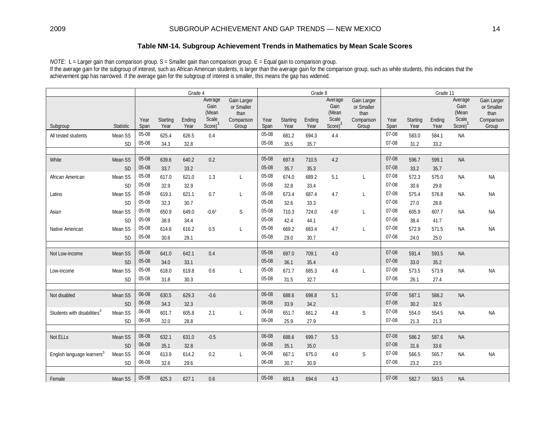### **Table NM-14. Subgroup Achievement Trends in Mathematics by Mean Scale Scores**

*NOTE:* L = Larger gain than comparison group. S = Smaller gain than comparison group. E = Equal gain to comparison group. If the average gain for the subgroup of interest, such as African American students, is larger than the average gain for the comparison group, such as white students, this indicates that the achievement gap has narrowed. If the average gain for the subgroup of interest is smaller, this means the gap has widened.

|                                         |           |              |                  | Grade 4        |                                             |                                                          |                |                  | Grade 8        |                                                          |                                                          |              |                  | Grade 11       |                                                 |                                                          |  |
|-----------------------------------------|-----------|--------------|------------------|----------------|---------------------------------------------|----------------------------------------------------------|----------------|------------------|----------------|----------------------------------------------------------|----------------------------------------------------------|--------------|------------------|----------------|-------------------------------------------------|----------------------------------------------------------|--|
| Subgroup                                | Statistic | Year<br>Span | Starting<br>Year | Ending<br>Year | Average<br>Gain<br>(Mean<br>Scale<br>Score) | Gain Larger<br>or Smaller<br>than<br>Comparison<br>Group | Year<br>Span   | Starting<br>Year | Ending<br>Year | Average<br>Gain<br>(Mean<br>Scale<br>Score) <sup>1</sup> | Gain Larger<br>or Smaller<br>than<br>Comparison<br>Group | Year<br>Span | Starting<br>Year | Ending<br>Year | Average<br>Gain<br>(Mean<br>Scale<br>$Score)^1$ | Gain Larger<br>or Smaller<br>than<br>Comparison<br>Group |  |
| All tested students                     | Mean SS   | 05-08        | 625.4            | 626.5          | 0.4                                         |                                                          | 05-08          | 681.2            | 694.3          | 4.4                                                      |                                                          | 07-08        | 583.0            | 584.1          | <b>NA</b>                                       |                                                          |  |
|                                         | <b>SD</b> | 05-08        | 34.3             | 32.8           |                                             |                                                          | 05-08          | 35.5             | 35.7           |                                                          |                                                          | 07-08        | 31.2             | 33.2           |                                                 |                                                          |  |
|                                         |           |              |                  |                |                                             |                                                          |                |                  |                |                                                          |                                                          |              |                  |                |                                                 |                                                          |  |
| White                                   | Mean SS   | 05-08        | 639.6            | 640.2          | 0.2                                         |                                                          | 05-08          | 697.8            | 710.5          | 4.2                                                      |                                                          | 07-08        | 596.7            | 599.1          | <b>NA</b>                                       |                                                          |  |
|                                         | SD        | 05-08        | 33.7             | 33.2           |                                             |                                                          | 05-08          | 35.7             | 35.3           |                                                          |                                                          | 07-08        | 33.2             | 35.7           |                                                 |                                                          |  |
| African American                        | Mean SS   | 05-08        | 617.0            | 621.0          | 1.3                                         | L                                                        | 05-08          | 674.0            | 689.2          | 5.1                                                      | L                                                        | 07-08        | 572.3            | 575.0          | <b>NA</b>                                       | <b>NA</b>                                                |  |
|                                         | <b>SD</b> | 05-08        | 32.9             | 32.9           |                                             |                                                          | 05-08          | 32.8             | 33.4           |                                                          |                                                          | 07-08        | 30.6             | 29.8           |                                                 |                                                          |  |
| Latino                                  | Mean SS   | 05-08        | 619.1            | 621.1          | 0.7                                         | L                                                        | 05-08          | 673.4            | 687.4          | 4.7                                                      | L                                                        | 07-08        | 575.4            | 576.8          | <b>NA</b>                                       | <b>NA</b>                                                |  |
|                                         | <b>SD</b> | 05-08        | 32.3             | 30.7           |                                             |                                                          | 05-08          | 32.6             | 33.3           |                                                          |                                                          | 07-08        | 27.0             | 28.8           |                                                 |                                                          |  |
| Asian                                   | Mean SS   | 05-08        | 650.9            | 649.0          | $-0.62$                                     | S                                                        | 05-08          | 710.3            | 724.0          | 4.6 <sup>2</sup>                                         | L                                                        | 07-08        | 605.9            | 607.7          | <b>NA</b>                                       | <b>NA</b>                                                |  |
|                                         | <b>SD</b> | 05-08        | 38.9             | 34.4           |                                             |                                                          | 05-08          | 42.4             | 44.1           |                                                          |                                                          | 07-08        | 38.4             | 41.7           |                                                 |                                                          |  |
| Native American                         | Mean SS   | 05-08        | 614.6            | 616.2          | 0.5                                         | L                                                        | 05-08          | 669.2            | 683.4          | 4.7                                                      | L                                                        | 07-08        | 572.9            | 571.5          | <b>NA</b>                                       | <b>NA</b>                                                |  |
|                                         | SD        | 05-08        | 30.6             | 29.1           |                                             |                                                          | 05-08          | 29.0             | 30.7           |                                                          |                                                          | 07-08        | 24.0             | 25.0           |                                                 |                                                          |  |
|                                         |           |              |                  |                |                                             |                                                          |                |                  |                |                                                          |                                                          |              |                  |                |                                                 |                                                          |  |
| Not Low-income                          | Mean SS   | 05-08        | 641.0            | 642.1          | 0.4                                         |                                                          | 05-08          | 697.0            | 709.1          | 4.0                                                      |                                                          | 07-08        | 591.4            | 593.5          | <b>NA</b>                                       |                                                          |  |
|                                         | <b>SD</b> | 05-08        | 34.0             | 33.1           |                                             |                                                          | 05-08          | 36.1             | 35.4           |                                                          |                                                          | 07-08        | 33.0             | 35.2           |                                                 |                                                          |  |
| Low-income                              | Mean SS   | 05-08        | 618.0            | 619.8          | 0.6                                         | L                                                        | 05-08          | 671.7            | 685.3          | 4.6                                                      | L                                                        | 07-08        | 573.5            | 573.9          | <b>NA</b>                                       | <b>NA</b>                                                |  |
|                                         | <b>SD</b> | 05-08        | 31.8             | 30.3           |                                             |                                                          | 05-08          | 31.5             | 32.7           |                                                          |                                                          | 07-08        | 26.1             | 27.4           |                                                 |                                                          |  |
|                                         |           |              |                  |                |                                             |                                                          |                |                  |                |                                                          |                                                          |              |                  |                |                                                 |                                                          |  |
| Not disabled                            | Mean SS   | 06-08        | 630.5            | 629.3          | $-0.6$                                      |                                                          | 06-08          | 688.6            | 698.8          | 5.1                                                      |                                                          | 07-08        | 587.1            | 588.2          | <b>NA</b>                                       |                                                          |  |
|                                         | <b>SD</b> | 06-08        | 34.3             | 32.3           |                                             |                                                          | 06-08          | 33.9             | 34.2           |                                                          |                                                          | 07-08        | 30.2             | 32.5           |                                                 |                                                          |  |
| Students with disabilities <sup>3</sup> | Mean SS   | 06-08        | 601.7            | 605.8          | 2.1                                         | L                                                        | 06-08          | 651.7            | 661.2          | 4.8                                                      | S                                                        | 07-08        | 554.0            | 554.5          | <b>NA</b>                                       | <b>NA</b>                                                |  |
|                                         | <b>SD</b> | 06-08        | 32.0             | 28.8           |                                             |                                                          | 06-08          | 25.9             | 27.9           |                                                          |                                                          | 07-08        | 21.3             | 21.3           |                                                 |                                                          |  |
|                                         |           | 06-08        |                  |                |                                             |                                                          |                |                  |                |                                                          |                                                          | 07-08        |                  |                |                                                 |                                                          |  |
| Not ELLs                                | Mean SS   | 06-08        | 632.1            | 631.0          | $-0.5$                                      |                                                          | 06-08<br>06-08 | 688.6            | 699.7          | 5.5                                                      |                                                          | 07-08        | 586.2            | 587.6          | <b>NA</b>                                       |                                                          |  |
|                                         | <b>SD</b> | 06-08        | 35.1             | 32.8           |                                             |                                                          | 06-08          | 35.1             | 35.0           |                                                          |                                                          | 07-08        | 31.6             | 33.6           |                                                 |                                                          |  |
| English language learners <sup>3</sup>  | Mean SS   | 06-08        | 613.9            | 614.2          | 0.2                                         | L                                                        | 06-08          | 667.1            | 675.0          | 4.0                                                      | S                                                        | 07-08        | 566.5            | 565.7          | <b>NA</b>                                       | <b>NA</b>                                                |  |
|                                         | <b>SD</b> |              | 32.6             | 29.6           |                                             |                                                          |                | 30.7             | 30.9           |                                                          |                                                          |              | 23.2             | 23.5           |                                                 |                                                          |  |
| Female                                  | Mean SS   | 05-08        | 625.3            | 627.1          | 0.6                                         |                                                          | 05-08          | 681.8            | 694.6          | 4.3                                                      |                                                          | 07-08        | 582.7            | 583.5          | <b>NA</b>                                       |                                                          |  |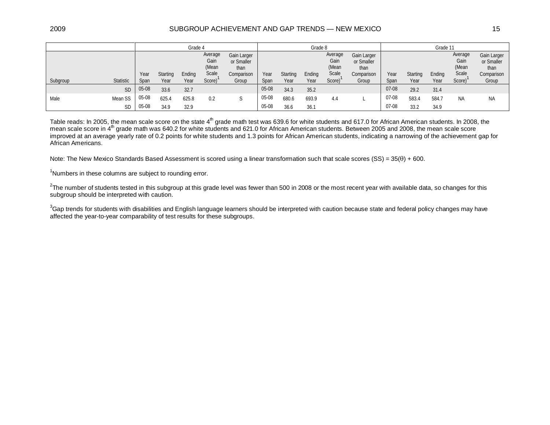#### 2009 SUBGROUP ACHIEVEMENT AND GAP TRENDS — NEW MEXICO 15

|          |           | Grade 4      |                  |                |                                             |                                                          |              | Grade 8          |                |                                             |                                                          |              | Grade 11         |                |                                             |                                                          |  |
|----------|-----------|--------------|------------------|----------------|---------------------------------------------|----------------------------------------------------------|--------------|------------------|----------------|---------------------------------------------|----------------------------------------------------------|--------------|------------------|----------------|---------------------------------------------|----------------------------------------------------------|--|
| Subgroup | Statistic | Year<br>Span | Starting<br>Year | Ending<br>Year | Average<br>Gain<br>(Mean<br>Scale<br>Score) | Gain Larger<br>or Smaller<br>than<br>Comparison<br>Group | Year<br>Span | Starting<br>Year | Ending<br>Year | Average<br>Gain<br>(Mean<br>Scale<br>Score) | Gain Larger<br>or Smaller<br>than<br>Comparison<br>Group | Year<br>Span | Starting<br>Year | Ending<br>Year | Average<br>Gain<br>(Mean<br>Scale<br>Score) | Gain Larger<br>or Smaller<br>than<br>Comparison<br>Group |  |
|          | <b>SD</b> | 05-08        | 33.6             | 32.7           |                                             |                                                          | 05-08        | 34.3             | 35.2           |                                             |                                                          | $07-08$      | 29.2             | 31.4           |                                             |                                                          |  |
| Male     | Mean SS   | 05-08        | 625.4            | 625.8          | 0.2                                         |                                                          | 05-08        | 680.6            | 693.9          | 4.4                                         |                                                          | 07-08        | 583.4            | 584.7          | <b>NA</b>                                   | <b>NA</b>                                                |  |
|          | <b>SD</b> | 05-08        | 34.9             | 32.9           |                                             |                                                          | 05-08        | 36.6             | 36.1           |                                             |                                                          | 07-08        | 33.2             | 34.9           |                                             |                                                          |  |

Table reads: In 2005, the mean scale score on the state 4<sup>th</sup> grade math test was 639.6 for white students and 617.0 for African American students. In 2008, the mean scale score in 4<sup>th</sup> grade math was 640.2 for white students and 621.0 for African American students. Between 2005 and 2008, the mean scale score improved at an average yearly rate of 0.2 points for white students and 1.3 points for African American students, indicating a narrowing of the achievement gap for African Americans.

Note: The New Mexico Standards Based Assessment is scored using a linear transformation such that scale scores  $(SS) = 35(\theta) + 600$ .

<sup>1</sup>Numbers in these columns are subject to rounding error.

 $^2$ The number of students tested in this subgroup at this grade level was fewer than 500 in 2008 or the most recent year with available data, so changes for this subgroup should be interpreted with caution.

 $^3$ Gap trends for students with disabilities and English language learners should be interpreted with caution because state and federal policy changes may have affected the year-to-year comparability of test results for these subgroups.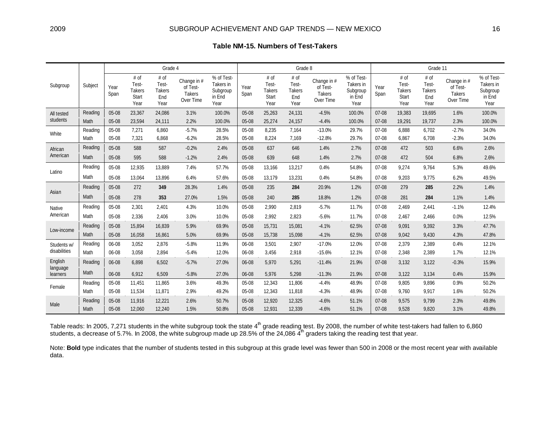|                                 |         | Grade 4      |                                                 |                                               |                                                       |                                                       |              |                                                 | Grade 8                                       |                                                |                                                       | Grade 11     |                                                 |                                        |                                                       |                                                       |
|---------------------------------|---------|--------------|-------------------------------------------------|-----------------------------------------------|-------------------------------------------------------|-------------------------------------------------------|--------------|-------------------------------------------------|-----------------------------------------------|------------------------------------------------|-------------------------------------------------------|--------------|-------------------------------------------------|----------------------------------------|-------------------------------------------------------|-------------------------------------------------------|
| Subgroup                        | Subject | Year<br>Span | # of<br>Test-<br><b>Takers</b><br>Start<br>Year | # of<br>Test-<br><b>Takers</b><br>End<br>Year | Change in #<br>of Test-<br><b>Takers</b><br>Over Time | % of Test-<br>Takers in<br>Subgroup<br>in End<br>Year | Year<br>Span | # of<br>Test-<br><b>Takers</b><br>Start<br>Year | # of<br>Test-<br><b>Takers</b><br>End<br>Year | Change in #<br>of Test-<br>Takers<br>Over Time | % of Test-<br>Takers in<br>Subgroup<br>in End<br>Year | Year<br>Span | # of<br>Test-<br><b>Takers</b><br>Start<br>Year | # of<br>Test-<br>Takers<br>End<br>Year | Change in #<br>of Test-<br><b>Takers</b><br>Over Time | % of Test-<br>Takers in<br>Subgroup<br>in End<br>Year |
| All tested<br>students          | Reading | 05-08        | 23,367                                          | 24,086                                        | 3.1%                                                  | 100.0%                                                | 05-08        | 25,263                                          | 24,131                                        | $-4.5%$                                        | 100.0%                                                | $07 - 08$    | 19,383                                          | 19,695                                 | 1.6%                                                  | 100.0%                                                |
|                                 | Math    | 05-08        | 23,594                                          | 24,111                                        | 2.2%                                                  | 100.0%                                                | 05-08        | 25,274                                          | 24,157                                        | $-4.4%$                                        | 100.0%                                                | 07-08        | 19,291                                          | 19,737                                 | 2.3%                                                  | 100.0%                                                |
| White                           | Reading | 05-08        | 7,271                                           | 6,860                                         | $-5.7%$                                               | 28.5%                                                 | 05-08        | 8,235                                           | 7,164                                         | $-13.0%$                                       | 29.7%                                                 | $07 - 08$    | 6,888                                           | 6,702                                  | $-2.7%$                                               | 34.0%                                                 |
|                                 | Math    | 05-08        | 7,321                                           | 6,868                                         | $-6.2%$                                               | 28.5%                                                 | 05-08        | 8,224                                           | 7,169                                         | $-12.8%$                                       | 29.7%                                                 | $07-08$      | 6,867                                           | 6,708                                  | $-2.3%$                                               | 34.0%                                                 |
| African<br>American             | Reading | 05-08        | 588                                             | 587                                           | $-0.2%$                                               | 2.4%                                                  | 05-08        | 637                                             | 646                                           | 1.4%                                           | 2.7%                                                  | $07-08$      | 472                                             | 503                                    | 6.6%                                                  | 2.6%                                                  |
|                                 | Math    | 05-08        | 595                                             | 588                                           | $-1.2%$                                               | 2.4%                                                  | 05-08        | 639                                             | 648                                           | 1.4%                                           | 2.7%                                                  | 07-08        | 472                                             | 504                                    | 6.8%                                                  | 2.6%                                                  |
| Latino                          | Reading | 05-08        | 12,935                                          | 13,889                                        | 7.4%                                                  | 57.7%                                                 | 05-08        | 13,166                                          | 13,217                                        | 0.4%                                           | 54.8%                                                 | 07-08        | 9,274                                           | 9,764                                  | 5.3%                                                  | 49.6%                                                 |
|                                 | Math    | 05-08        | 13,064                                          | 13,896                                        | 6.4%                                                  | 57.6%                                                 | 05-08        | 13,179                                          | 13,231                                        | 0.4%                                           | 54.8%                                                 | $07-08$      | 9,203                                           | 9,775                                  | 6.2%                                                  | 49.5%                                                 |
| Asian                           | Reading | 05-08        | 272                                             | 349                                           | 28.3%                                                 | 1.4%                                                  | 05-08        | 235                                             | 284                                           | 20.9%                                          | 1.2%                                                  | $07-08$      | 279                                             | 285                                    | 2.2%                                                  | 1.4%                                                  |
|                                 | Math    | 05-08        | 278                                             | 353                                           | 27.0%                                                 | 1.5%                                                  | 05-08        | 240                                             | 285                                           | 18.8%                                          | 1.2%                                                  | $07-08$      | 281                                             | 284                                    | 1.1%                                                  | 1.4%                                                  |
| Native<br>American              | Reading | 05-08        | 2,301                                           | 2,401                                         | 4.3%                                                  | 10.0%                                                 | 05-08        | 2,990                                           | 2,819                                         | $-5.7%$                                        | 11.7%                                                 | $07-08$      | 2,469                                           | 2,441                                  | $-1.1%$                                               | 12.4%                                                 |
|                                 | Math    | 05-08        | 2,336                                           | 2,406                                         | 3.0%                                                  | 10.0%                                                 | 05-08        | 2,992                                           | 2,823                                         | $-5.6%$                                        | 11.7%                                                 | $07-08$      | 2,467                                           | 2,466                                  | 0.0%                                                  | 12.5%                                                 |
| Low-income                      | Reading | 05-08        | 15,894                                          | 16,839                                        | 5.9%                                                  | 69.9%                                                 | 05-08        | 15,731                                          | 15,081                                        | $-4.1%$                                        | 62.5%                                                 | 07-08        | 9,091                                           | 9,392                                  | 3.3%                                                  | 47.7%                                                 |
|                                 | Math    | 05-08        | 16,058                                          | 16,861                                        | 5.0%                                                  | 69.9%                                                 | 05-08        | 15,738                                          | 15,098                                        | $-4.1%$                                        | 62.5%                                                 | $07-08$      | 9,042                                           | 9,430                                  | 4.3%                                                  | 47.8%                                                 |
| Students w/<br>disabilities     | Reading | 06-08        | 3,052                                           | 2,876                                         | $-5.8%$                                               | 11.9%                                                 | 06-08        | 3,501                                           | 2,907                                         | $-17.0%$                                       | 12.0%                                                 | 07-08        | 2,379                                           | 2,389                                  | 0.4%                                                  | 12.1%                                                 |
|                                 | Math    | 06-08        | 3,058                                           | 2,894                                         | $-5.4%$                                               | 12.0%                                                 | 06-08        | 3,456                                           | 2,918                                         | $-15.6%$                                       | 12.1%                                                 | 07-08        | 2,348                                           | 2,389                                  | 1.7%                                                  | 12.1%                                                 |
| English<br>language<br>learners | Reading | 06-08        | 6,898                                           | 6,502                                         | $-5.7%$                                               | 27.0%                                                 | 06-08        | 5,970                                           | 5,291                                         | $-11.4%$                                       | 21.9%                                                 | $07-08$      | 3,132                                           | 3,122                                  | $-0.3%$                                               | 15.9%                                                 |
|                                 | Math    | 06-08        | 6,912                                           | 6,509                                         | $-5.8%$                                               | 27.0%                                                 | 06-08        | 5,976                                           | 5,298                                         | $-11.3%$                                       | 21.9%                                                 | $07-08$      | 3,122                                           | 3,134                                  | 0.4%                                                  | 15.9%                                                 |
| Female                          | Reading | 05-08        | 11,451                                          | 11,865                                        | 3.6%                                                  | 49.3%                                                 | 05-08        | 12,343                                          | 11,806                                        | $-4.4%$                                        | 48.9%                                                 | 07-08        | 9,805                                           | 9,896                                  | 0.9%                                                  | 50.2%                                                 |
|                                 | Math    | 05-08        | 11,534                                          | 11,871                                        | 2.9%                                                  | 49.2%                                                 | 05-08        | 12,343                                          | 11,818                                        | $-4.3%$                                        | 48.9%                                                 | $07-08$      | 9,760                                           | 9,917                                  | 1.6%                                                  | 50.2%                                                 |
| Male                            | Reading | 05-08        | 11,916                                          | 12,221                                        | 2.6%                                                  | 50.7%                                                 | 05-08        | 12,920                                          | 12,325                                        | $-4.6%$                                        | 51.1%                                                 | 07-08        | 9,575                                           | 9,799                                  | 2.3%                                                  | 49.8%                                                 |
|                                 | Math    | 05-08        | 12,060                                          | 12,240                                        | 1.5%                                                  | 50.8%                                                 | 05-08        | 12,931                                          | 12,339                                        | $-4.6%$                                        | 51.1%                                                 | $07 - 08$    | 9,528                                           | 9,820                                  | 3.1%                                                  | 49.8%                                                 |

Table reads: In 2005, 7,271 students in the white subgroup took the state 4<sup>th</sup> grade reading test. By 2008, the number of white test-takers had fallen to 6,860 students, a decrease of 5.7%. In 2008, the white subgroup made up 28.5% of the 24,086  $\tilde{4}^{\text{th}}$  graders taking the reading test that year.

Note: **Bold** type indicates that the number of students tested in this subgroup at this grade level was fewer than 500 in 2008 or the most recent year with available data.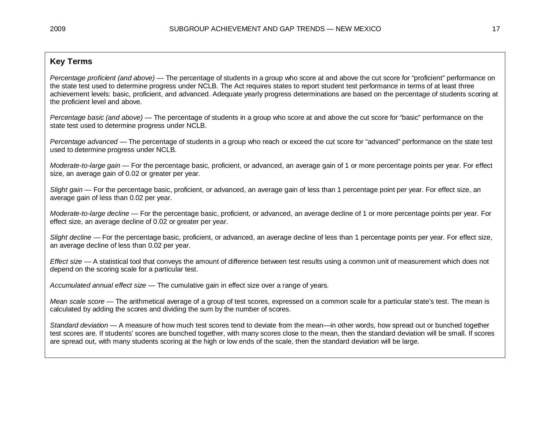### **Key Terms**

*Percentage proficient (and above)* — The percentage of students in a group who score at and above the cut score for "proficient" performance on the state test used to determine progress under NCLB. The Act requires states to report student test performance in terms of at least three achievement levels: basic, proficient, and advanced. Adequate yearly progress determinations are based on the percentage of students scoring at the proficient level and above.

*Percentage basic (and above)* — The percentage of students in a group who score at and above the cut score for "basic" performance on the state test used to determine progress under NCLB.

*Percentage advanced* — The percentage of students in a group who reach or exceed the cut score for "advanced" performance on the state test used to determine progress under NCLB.

*Moderate-to-large gain* — For the percentage basic, proficient, or advanced, an average gain of 1 or more percentage points per year. For effect size, an average gain of 0.02 or greater per year.

*Slight gain* — For the percentage basic, proficient, or advanced, an average gain of less than 1 percentage point per year. For effect size, an average gain of less than 0.02 per year.

*Moderate-to-large decline* — For the percentage basic, proficient, or advanced, an average decline of 1 or more percentage points per year. For effect size, an average decline of 0.02 or greater per year.

*Slight decline* — For the percentage basic, proficient, or advanced, an average decline of less than 1 percentage points per year. For effect size, an average decline of less than 0.02 per year.

*Effect size* — A statistical tool that conveys the amount of difference between test results using a common unit of measurement which does not depend on the scoring scale for a particular test.

*Accumulated annual effect size* — The cumulative gain in effect size over a range of years.

*Mean scale score* — The arithmetical average of a group of test scores, expressed on a common scale for a particular state's test. The mean is calculated by adding the scores and dividing the sum by the number of scores.

*Standard deviation* — A measure of how much test scores tend to deviate from the mean—in other words, how spread out or bunched together test scores are. If students' scores are bunched together, with many scores close to the mean, then the standard deviation will be small. If scores are spread out, with many students scoring at the high or low ends of the scale, then the standard deviation will be large.